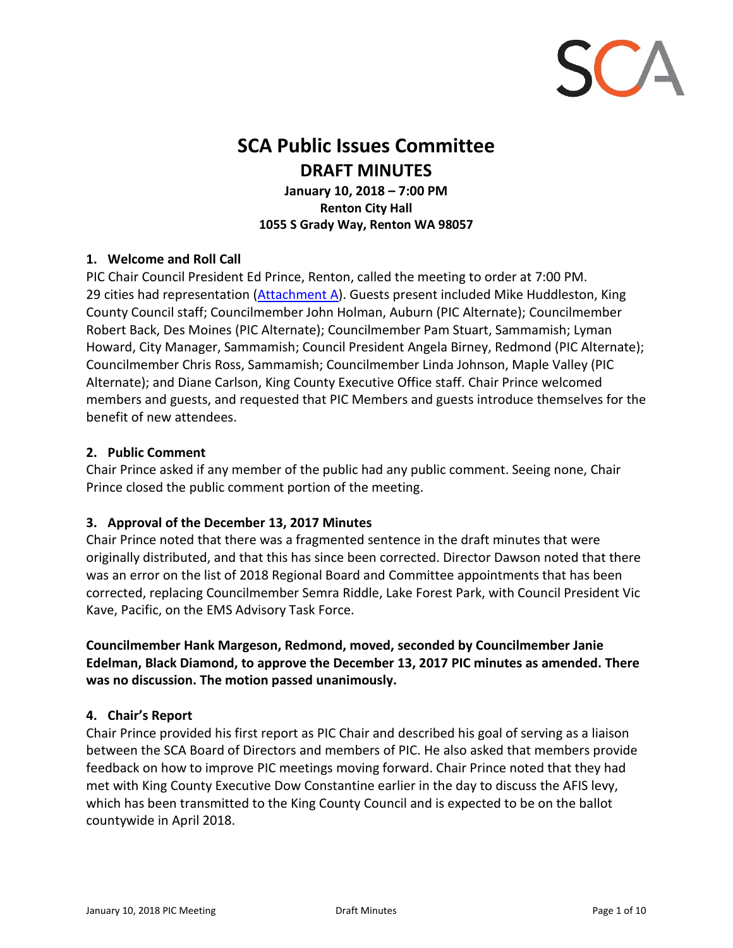

# **SCA Public Issues Committee DRAFT MINUTES**

**January 10, 2018 – 7:00 PM Renton City Hall 1055 S Grady Way, Renton WA 98057**

### **1. Welcome and Roll Call**

PIC Chair Council President Ed Prince, Renton, called the meeting to order at 7:00 PM. 29 cities had representation [\(Attachment A\).](#page-9-0) Guests present included Mike Huddleston, King County Council staff; Councilmember John Holman, Auburn (PIC Alternate); Councilmember Robert Back, Des Moines (PIC Alternate); Councilmember Pam Stuart, Sammamish; Lyman Howard, City Manager, Sammamish; Council President Angela Birney, Redmond (PIC Alternate); Councilmember Chris Ross, Sammamish; Councilmember Linda Johnson, Maple Valley (PIC Alternate); and Diane Carlson, King County Executive Office staff. Chair Prince welcomed members and guests, and requested that PIC Members and guests introduce themselves for the benefit of new attendees.

#### **2. Public Comment**

Chair Prince asked if any member of the public had any public comment. Seeing none, Chair Prince closed the public comment portion of the meeting.

#### **3. Approval of the December 13, 2017 Minutes**

Chair Prince noted that there was a fragmented sentence in the draft minutes that were originally distributed, and that this has since been corrected. Director Dawson noted that there was an error on the list of 2018 Regional Board and Committee appointments that has been corrected, replacing Councilmember Semra Riddle, Lake Forest Park, with Council President Vic Kave, Pacific, on the EMS Advisory Task Force.

**Councilmember Hank Margeson, Redmond, moved, seconded by Councilmember Janie Edelman, Black Diamond, to approve the December 13, 2017 PIC minutes as amended. There was no discussion. The motion passed unanimously.**

#### **4. Chair's Report**

Chair Prince provided his first report as PIC Chair and described his goal of serving as a liaison between the SCA Board of Directors and members of PIC. He also asked that members provide feedback on how to improve PIC meetings moving forward. Chair Prince noted that they had met with King County Executive Dow Constantine earlier in the day to discuss the AFIS levy, which has been transmitted to the King County Council and is expected to be on the ballot countywide in April 2018.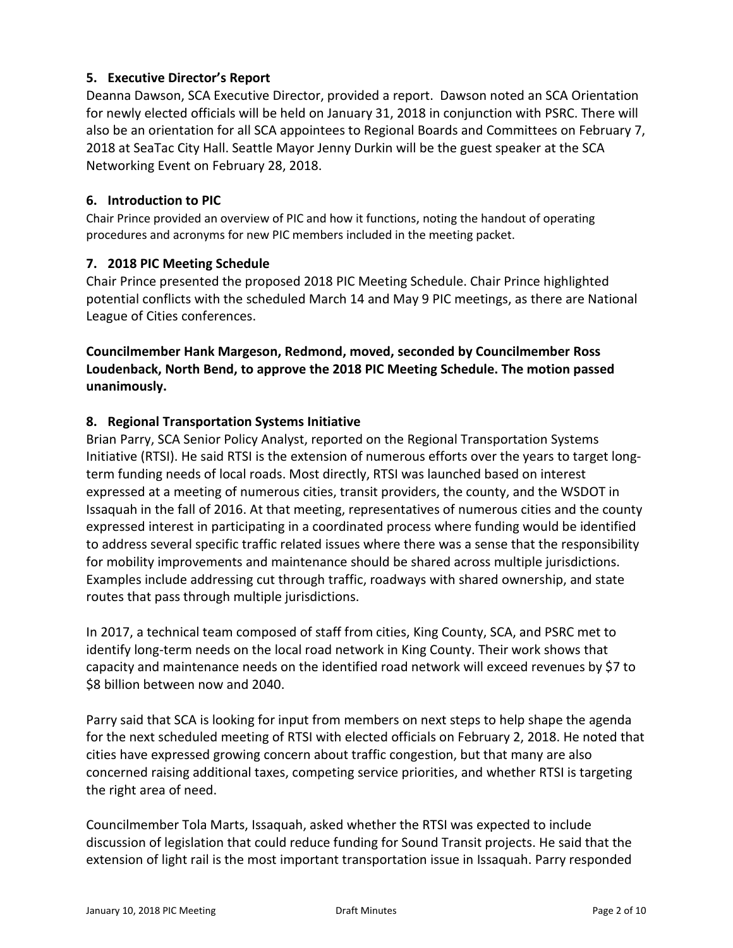# **5. Executive Director's Report**

Deanna Dawson, SCA Executive Director, provided a report. Dawson noted an SCA Orientation for newly elected officials will be held on January 31, 2018 in conjunction with PSRC. There will also be an orientation for all SCA appointees to Regional Boards and Committees on February 7, 2018 at SeaTac City Hall. Seattle Mayor Jenny Durkin will be the guest speaker at the SCA Networking Event on February 28, 2018.

#### **6. Introduction to PIC**

Chair Prince provided an overview of PIC and how it functions, noting the handout of operating procedures and acronyms for new PIC members included in the meeting packet.

### **7. 2018 PIC Meeting Schedule**

Chair Prince presented the proposed 2018 PIC Meeting Schedule. Chair Prince highlighted potential conflicts with the scheduled March 14 and May 9 PIC meetings, as there are National League of Cities conferences.

# **Councilmember Hank Margeson, Redmond, moved, seconded by Councilmember Ross Loudenback, North Bend, to approve the 2018 PIC Meeting Schedule. The motion passed unanimously.**

### **8. Regional Transportation Systems Initiative**

Brian Parry, SCA Senior Policy Analyst, reported on the Regional Transportation Systems Initiative (RTSI). He said RTSI is the extension of numerous efforts over the years to target longterm funding needs of local roads. Most directly, RTSI was launched based on interest expressed at a meeting of numerous cities, transit providers, the county, and the WSDOT in Issaquah in the fall of 2016. At that meeting, representatives of numerous cities and the county expressed interest in participating in a coordinated process where funding would be identified to address several specific traffic related issues where there was a sense that the responsibility for mobility improvements and maintenance should be shared across multiple jurisdictions. Examples include addressing cut through traffic, roadways with shared ownership, and state routes that pass through multiple jurisdictions.

In 2017, a technical team composed of staff from cities, King County, SCA, and PSRC met to identify long-term needs on the local road network in King County. Their work shows that capacity and maintenance needs on the identified road network will exceed revenues by \$7 to \$8 billion between now and 2040.

Parry said that SCA is looking for input from members on next steps to help shape the agenda for the next scheduled meeting of RTSI with elected officials on February 2, 2018. He noted that cities have expressed growing concern about traffic congestion, but that many are also concerned raising additional taxes, competing service priorities, and whether RTSI is targeting the right area of need.

Councilmember Tola Marts, Issaquah, asked whether the RTSI was expected to include discussion of legislation that could reduce funding for Sound Transit projects. He said that the extension of light rail is the most important transportation issue in Issaquah. Parry responded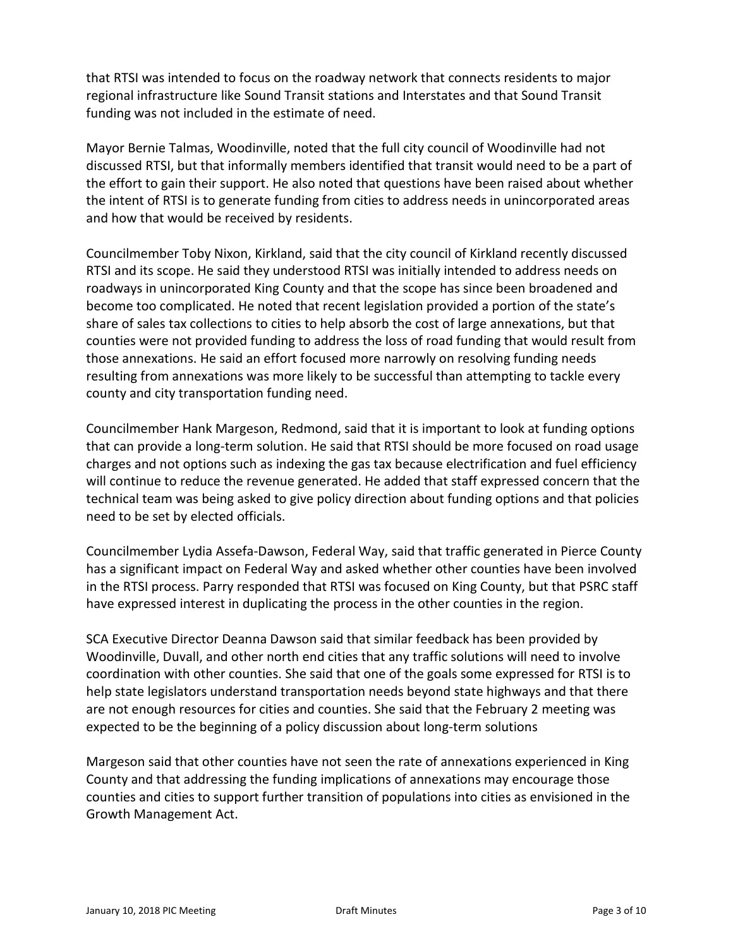that RTSI was intended to focus on the roadway network that connects residents to major regional infrastructure like Sound Transit stations and Interstates and that Sound Transit funding was not included in the estimate of need.

Mayor Bernie Talmas, Woodinville, noted that the full city council of Woodinville had not discussed RTSI, but that informally members identified that transit would need to be a part of the effort to gain their support. He also noted that questions have been raised about whether the intent of RTSI is to generate funding from cities to address needs in unincorporated areas and how that would be received by residents.

Councilmember Toby Nixon, Kirkland, said that the city council of Kirkland recently discussed RTSI and its scope. He said they understood RTSI was initially intended to address needs on roadways in unincorporated King County and that the scope has since been broadened and become too complicated. He noted that recent legislation provided a portion of the state's share of sales tax collections to cities to help absorb the cost of large annexations, but that counties were not provided funding to address the loss of road funding that would result from those annexations. He said an effort focused more narrowly on resolving funding needs resulting from annexations was more likely to be successful than attempting to tackle every county and city transportation funding need.

Councilmember Hank Margeson, Redmond, said that it is important to look at funding options that can provide a long-term solution. He said that RTSI should be more focused on road usage charges and not options such as indexing the gas tax because electrification and fuel efficiency will continue to reduce the revenue generated. He added that staff expressed concern that the technical team was being asked to give policy direction about funding options and that policies need to be set by elected officials.

Councilmember Lydia Assefa-Dawson, Federal Way, said that traffic generated in Pierce County has a significant impact on Federal Way and asked whether other counties have been involved in the RTSI process. Parry responded that RTSI was focused on King County, but that PSRC staff have expressed interest in duplicating the process in the other counties in the region.

SCA Executive Director Deanna Dawson said that similar feedback has been provided by Woodinville, Duvall, and other north end cities that any traffic solutions will need to involve coordination with other counties. She said that one of the goals some expressed for RTSI is to help state legislators understand transportation needs beyond state highways and that there are not enough resources for cities and counties. She said that the February 2 meeting was expected to be the beginning of a policy discussion about long-term solutions

Margeson said that other counties have not seen the rate of annexations experienced in King County and that addressing the funding implications of annexations may encourage those counties and cities to support further transition of populations into cities as envisioned in the Growth Management Act.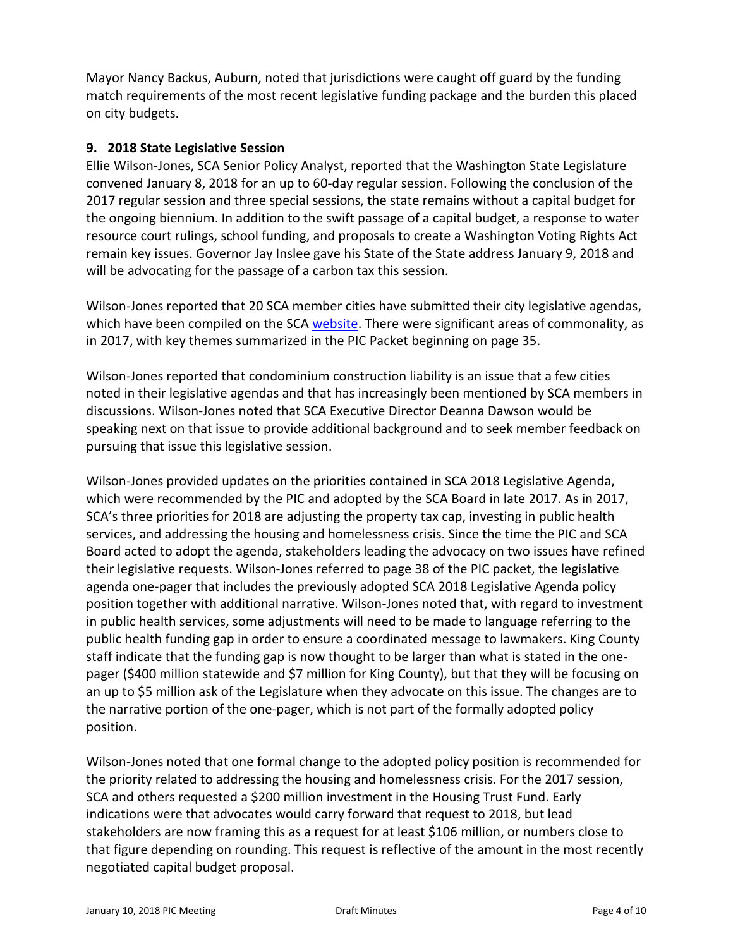Mayor Nancy Backus, Auburn, noted that jurisdictions were caught off guard by the funding match requirements of the most recent legislative funding package and the burden this placed on city budgets.

#### **9. 2018 State Legislative Session**

Ellie Wilson-Jones, SCA Senior Policy Analyst, reported that the Washington State Legislature convened January 8, 2018 for an up to 60-day regular session. Following the conclusion of the 2017 regular session and three special sessions, the state remains without a capital budget for the ongoing biennium. In addition to the swift passage of a capital budget, a response to water resource court rulings, school funding, and proposals to create a Washington Voting Rights Act remain key issues. Governor Jay Inslee gave his State of the State address January 9, 2018 and will be advocating for the passage of a carbon tax this session.

Wilson-Jones reported that 20 SCA member cities have submitted their city legislative agendas, which have been compiled on the SCA [website.](http://soundcities.org/wp-content/uploads/2018/01/Item-09-2018-State-Legislative-Session-Additional-Meeting-Materials-SCA-Member-City-Legislative-Agendas-reduced-size.pdf) There were significant areas of commonality, as in 2017, with key themes summarized in the PIC Packet beginning on page 35.

Wilson-Jones reported that condominium construction liability is an issue that a few cities noted in their legislative agendas and that has increasingly been mentioned by SCA members in discussions. Wilson-Jones noted that SCA Executive Director Deanna Dawson would be speaking next on that issue to provide additional background and to seek member feedback on pursuing that issue this legislative session.

Wilson-Jones provided updates on the priorities contained in SCA 2018 Legislative Agenda, which were recommended by the PIC and adopted by the SCA Board in late 2017. As in 2017, SCA's three priorities for 2018 are adjusting the property tax cap, investing in public health services, and addressing the housing and homelessness crisis. Since the time the PIC and SCA Board acted to adopt the agenda, stakeholders leading the advocacy on two issues have refined their legislative requests. Wilson-Jones referred to page 38 of the PIC packet, the legislative agenda one-pager that includes the previously adopted SCA 2018 Legislative Agenda policy position together with additional narrative. Wilson-Jones noted that, with regard to investment in public health services, some adjustments will need to be made to language referring to the public health funding gap in order to ensure a coordinated message to lawmakers. King County staff indicate that the funding gap is now thought to be larger than what is stated in the onepager (\$400 million statewide and \$7 million for King County), but that they will be focusing on an up to \$5 million ask of the Legislature when they advocate on this issue. The changes are to the narrative portion of the one-pager, which is not part of the formally adopted policy position.

Wilson-Jones noted that one formal change to the adopted policy position is recommended for the priority related to addressing the housing and homelessness crisis. For the 2017 session, SCA and others requested a \$200 million investment in the Housing Trust Fund. Early indications were that advocates would carry forward that request to 2018, but lead stakeholders are now framing this as a request for at least \$106 million, or numbers close to that figure depending on rounding. This request is reflective of the amount in the most recently negotiated capital budget proposal.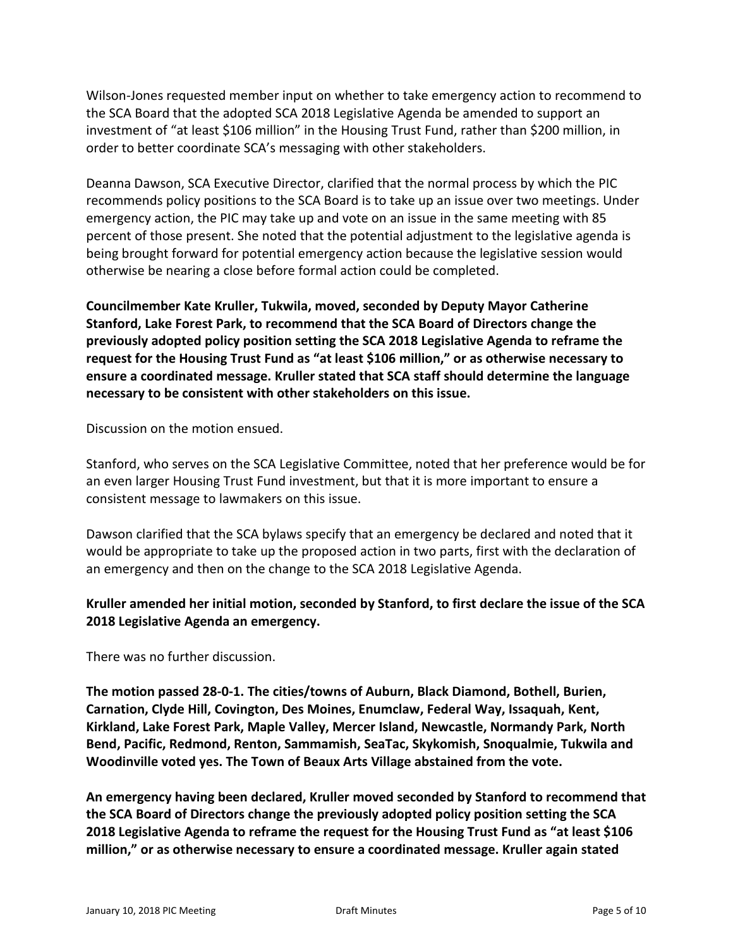Wilson-Jones requested member input on whether to take emergency action to recommend to the SCA Board that the adopted SCA 2018 Legislative Agenda be amended to support an investment of "at least \$106 million" in the Housing Trust Fund, rather than \$200 million, in order to better coordinate SCA's messaging with other stakeholders.

Deanna Dawson, SCA Executive Director, clarified that the normal process by which the PIC recommends policy positions to the SCA Board is to take up an issue over two meetings. Under emergency action, the PIC may take up and vote on an issue in the same meeting with 85 percent of those present. She noted that the potential adjustment to the legislative agenda is being brought forward for potential emergency action because the legislative session would otherwise be nearing a close before formal action could be completed.

**Councilmember Kate Kruller, Tukwila, moved, seconded by Deputy Mayor Catherine Stanford, Lake Forest Park, to recommend that the SCA Board of Directors change the previously adopted policy position setting the SCA 2018 Legislative Agenda to reframe the request for the Housing Trust Fund as "at least \$106 million," or as otherwise necessary to ensure a coordinated message. Kruller stated that SCA staff should determine the language necessary to be consistent with other stakeholders on this issue.**

Discussion on the motion ensued.

Stanford, who serves on the SCA Legislative Committee, noted that her preference would be for an even larger Housing Trust Fund investment, but that it is more important to ensure a consistent message to lawmakers on this issue.

Dawson clarified that the SCA bylaws specify that an emergency be declared and noted that it would be appropriate to take up the proposed action in two parts, first with the declaration of an emergency and then on the change to the SCA 2018 Legislative Agenda.

### **Kruller amended her initial motion, seconded by Stanford, to first declare the issue of the SCA 2018 Legislative Agenda an emergency.**

There was no further discussion.

**The motion passed 28-0-1. The cities/towns of Auburn, Black Diamond, Bothell, Burien, Carnation, Clyde Hill, Covington, Des Moines, Enumclaw, Federal Way, Issaquah, Kent, Kirkland, Lake Forest Park, Maple Valley, Mercer Island, Newcastle, Normandy Park, North Bend, Pacific, Redmond, Renton, Sammamish, SeaTac, Skykomish, Snoqualmie, Tukwila and Woodinville voted yes. The Town of Beaux Arts Village abstained from the vote.**

**An emergency having been declared, Kruller moved seconded by Stanford to recommend that the SCA Board of Directors change the previously adopted policy position setting the SCA 2018 Legislative Agenda to reframe the request for the Housing Trust Fund as "at least \$106 million," or as otherwise necessary to ensure a coordinated message. Kruller again stated**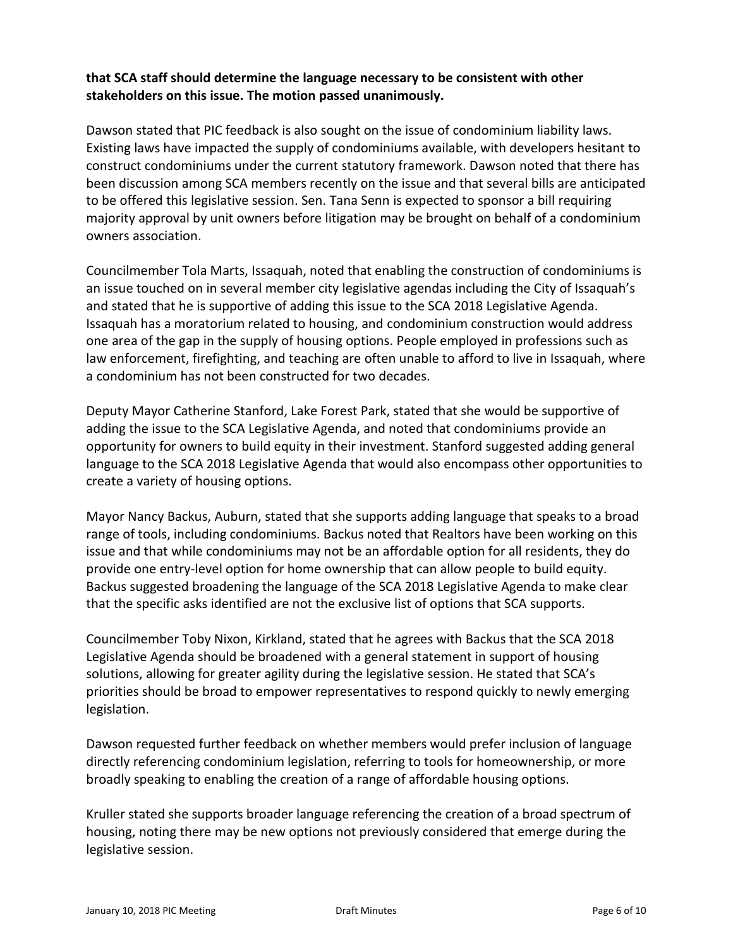## **that SCA staff should determine the language necessary to be consistent with other stakeholders on this issue. The motion passed unanimously.**

Dawson stated that PIC feedback is also sought on the issue of condominium liability laws. Existing laws have impacted the supply of condominiums available, with developers hesitant to construct condominiums under the current statutory framework. Dawson noted that there has been discussion among SCA members recently on the issue and that several bills are anticipated to be offered this legislative session. Sen. Tana Senn is expected to sponsor a bill requiring majority approval by unit owners before litigation may be brought on behalf of a condominium owners association.

Councilmember Tola Marts, Issaquah, noted that enabling the construction of condominiums is an issue touched on in several member city legislative agendas including the City of Issaquah's and stated that he is supportive of adding this issue to the SCA 2018 Legislative Agenda. Issaquah has a moratorium related to housing, and condominium construction would address one area of the gap in the supply of housing options. People employed in professions such as law enforcement, firefighting, and teaching are often unable to afford to live in Issaquah, where a condominium has not been constructed for two decades.

Deputy Mayor Catherine Stanford, Lake Forest Park, stated that she would be supportive of adding the issue to the SCA Legislative Agenda, and noted that condominiums provide an opportunity for owners to build equity in their investment. Stanford suggested adding general language to the SCA 2018 Legislative Agenda that would also encompass other opportunities to create a variety of housing options.

Mayor Nancy Backus, Auburn, stated that she supports adding language that speaks to a broad range of tools, including condominiums. Backus noted that Realtors have been working on this issue and that while condominiums may not be an affordable option for all residents, they do provide one entry-level option for home ownership that can allow people to build equity. Backus suggested broadening the language of the SCA 2018 Legislative Agenda to make clear that the specific asks identified are not the exclusive list of options that SCA supports.

Councilmember Toby Nixon, Kirkland, stated that he agrees with Backus that the SCA 2018 Legislative Agenda should be broadened with a general statement in support of housing solutions, allowing for greater agility during the legislative session. He stated that SCA's priorities should be broad to empower representatives to respond quickly to newly emerging legislation.

Dawson requested further feedback on whether members would prefer inclusion of language directly referencing condominium legislation, referring to tools for homeownership, or more broadly speaking to enabling the creation of a range of affordable housing options.

Kruller stated she supports broader language referencing the creation of a broad spectrum of housing, noting there may be new options not previously considered that emerge during the legislative session.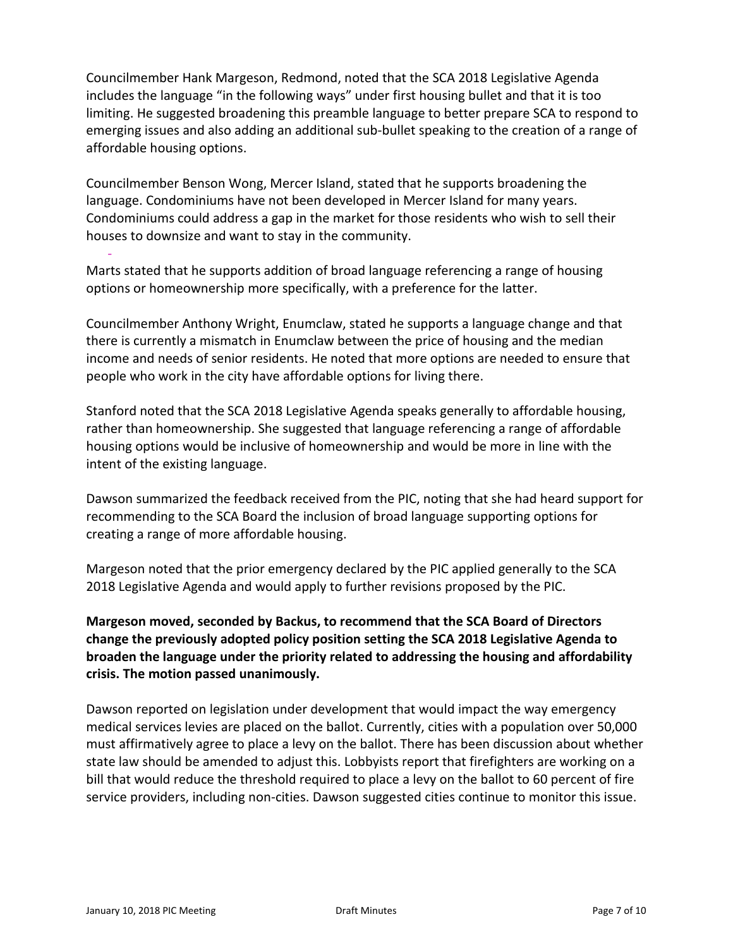Councilmember Hank Margeson, Redmond, noted that the SCA 2018 Legislative Agenda includes the language "in the following ways" under first housing bullet and that it is too limiting. He suggested broadening this preamble language to better prepare SCA to respond to emerging issues and also adding an additional sub-bullet speaking to the creation of a range of affordable housing options.

Councilmember Benson Wong, Mercer Island, stated that he supports broadening the language. Condominiums have not been developed in Mercer Island for many years. Condominiums could address a gap in the market for those residents who wish to sell their houses to downsize and want to stay in the community.

Marts stated that he supports addition of broad language referencing a range of housing options or homeownership more specifically, with a preference for the latter.

Councilmember Anthony Wright, Enumclaw, stated he supports a language change and that there is currently a mismatch in Enumclaw between the price of housing and the median income and needs of senior residents. He noted that more options are needed to ensure that people who work in the city have affordable options for living there.

Stanford noted that the SCA 2018 Legislative Agenda speaks generally to affordable housing, rather than homeownership. She suggested that language referencing a range of affordable housing options would be inclusive of homeownership and would be more in line with the intent of the existing language.

Dawson summarized the feedback received from the PIC, noting that she had heard support for recommending to the SCA Board the inclusion of broad language supporting options for creating a range of more affordable housing.

Margeson noted that the prior emergency declared by the PIC applied generally to the SCA 2018 Legislative Agenda and would apply to further revisions proposed by the PIC.

**Margeson moved, seconded by Backus, to recommend that the SCA Board of Directors change the previously adopted policy position setting the SCA 2018 Legislative Agenda to broaden the language under the priority related to addressing the housing and affordability crisis. The motion passed unanimously.**

Dawson reported on legislation under development that would impact the way emergency medical services levies are placed on the ballot. Currently, cities with a population over 50,000 must affirmatively agree to place a levy on the ballot. There has been discussion about whether state law should be amended to adjust this. Lobbyists report that firefighters are working on a bill that would reduce the threshold required to place a levy on the ballot to 60 percent of fire service providers, including non-cities. Dawson suggested cities continue to monitor this issue.

-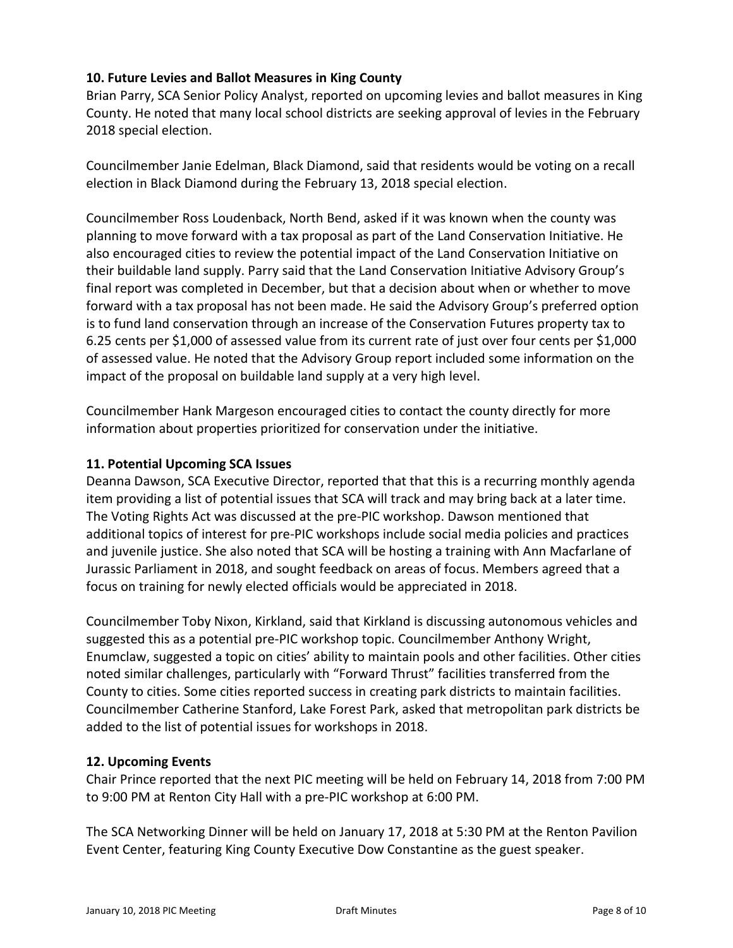# **10. Future Levies and Ballot Measures in King County**

Brian Parry, SCA Senior Policy Analyst, reported on upcoming levies and ballot measures in King County. He noted that many local school districts are seeking approval of levies in the February 2018 special election.

Councilmember Janie Edelman, Black Diamond, said that residents would be voting on a recall election in Black Diamond during the February 13, 2018 special election.

Councilmember Ross Loudenback, North Bend, asked if it was known when the county was planning to move forward with a tax proposal as part of the Land Conservation Initiative. He also encouraged cities to review the potential impact of the Land Conservation Initiative on their buildable land supply. Parry said that the Land Conservation Initiative Advisory Group's final report was completed in December, but that a decision about when or whether to move forward with a tax proposal has not been made. He said the Advisory Group's preferred option is to fund land conservation through an increase of the Conservation Futures property tax to 6.25 cents per \$1,000 of assessed value from its current rate of just over four cents per \$1,000 of assessed value. He noted that the Advisory Group report included some information on the impact of the proposal on buildable land supply at a very high level.

Councilmember Hank Margeson encouraged cities to contact the county directly for more information about properties prioritized for conservation under the initiative.

#### **11. Potential Upcoming SCA Issues**

Deanna Dawson, SCA Executive Director, reported that that this is a recurring monthly agenda item providing a list of potential issues that SCA will track and may bring back at a later time. The Voting Rights Act was discussed at the pre-PIC workshop. Dawson mentioned that additional topics of interest for pre-PIC workshops include social media policies and practices and juvenile justice. She also noted that SCA will be hosting a training with Ann Macfarlane of Jurassic Parliament in 2018, and sought feedback on areas of focus. Members agreed that a focus on training for newly elected officials would be appreciated in 2018.

Councilmember Toby Nixon, Kirkland, said that Kirkland is discussing autonomous vehicles and suggested this as a potential pre-PIC workshop topic. Councilmember Anthony Wright, Enumclaw, suggested a topic on cities' ability to maintain pools and other facilities. Other cities noted similar challenges, particularly with "Forward Thrust" facilities transferred from the County to cities. Some cities reported success in creating park districts to maintain facilities. Councilmember Catherine Stanford, Lake Forest Park, asked that metropolitan park districts be added to the list of potential issues for workshops in 2018.

#### **12. Upcoming Events**

Chair Prince reported that the next PIC meeting will be held on February 14, 2018 from 7:00 PM to 9:00 PM at Renton City Hall with a pre-PIC workshop at 6:00 PM.

The SCA Networking Dinner will be held on January 17, 2018 at 5:30 PM at the Renton Pavilion Event Center, featuring King County Executive Dow Constantine as the guest speaker.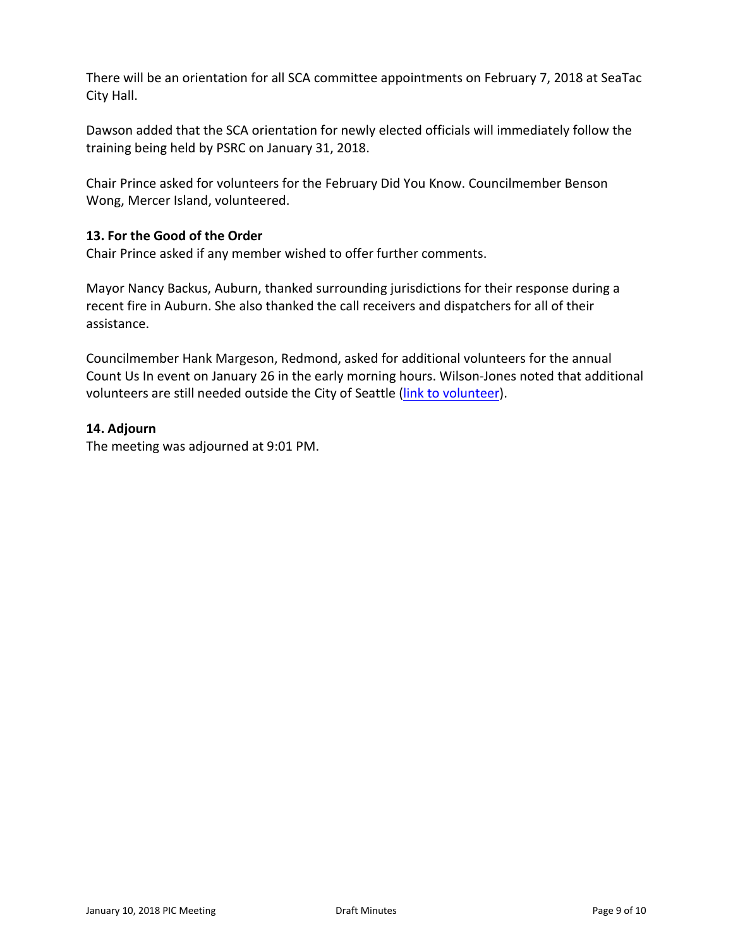There will be an orientation for all SCA committee appointments on February 7, 2018 at SeaTac City Hall.

Dawson added that the SCA orientation for newly elected officials will immediately follow the training being held by PSRC on January 31, 2018.

Chair Prince asked for volunteers for the February Did You Know. Councilmember Benson Wong, Mercer Island, volunteered.

#### **13. For the Good of the Order**

Chair Prince asked if any member wished to offer further comments.

Mayor Nancy Backus, Auburn, thanked surrounding jurisdictions for their response during a recent fire in Auburn. She also thanked the call receivers and dispatchers for all of their assistance.

Councilmember Hank Margeson, Redmond, asked for additional volunteers for the annual Count Us In event on January 26 in the early morning hours. Wilson-Jones noted that additional volunteers are still needed outside the City of Seattle [\(link to volunteer\)](http://allhomekc.org/king-county-point-in-time-pit-count/#participate-in-the-count).

#### **14. Adjourn**

The meeting was adjourned at 9:01 PM.